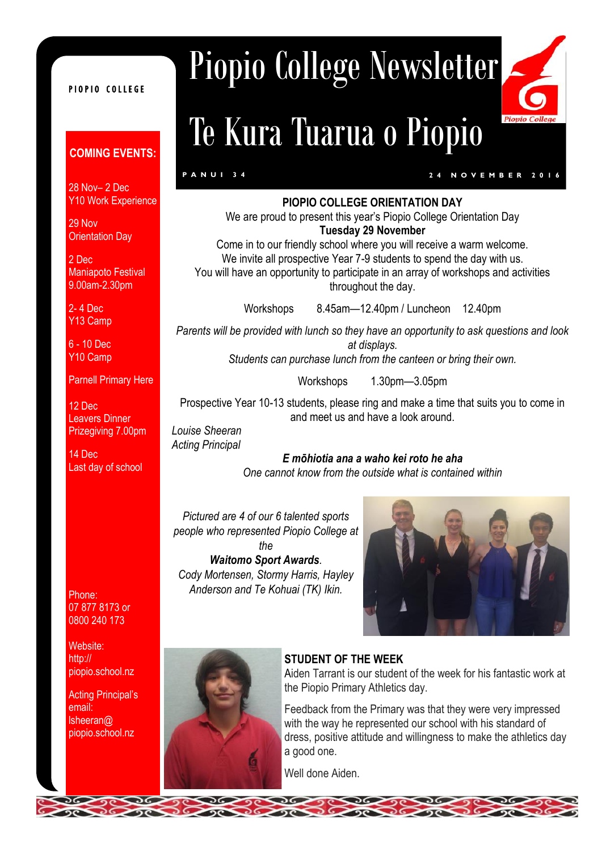#### PIOPIO COLLEGE

#### **COMING EVENTS:**

28 Nov– 2 Dec Y10 Work Experience

29 Nov Orientation Day

2 Dec Maniapoto Festival 9.00am-2.30pm

2- 4 Dec Y13 Camp

6 - 10 Dec Y10 Camp

Parnell Primary Here

12 Dec Leavers Dinner Prizegiving 7.00pm

14 Dec Last day of school

Phone: 07 877 8173 or 0800 240 173

Website: http:// piopio.school.nz

Acting Principal's email: lsheeran@ piopio.school.nz

## Piopio College Newsletter

# Te Kura Tuarua o Piopio



#### **P A N U I 3 4 2 4 N O V E M B E R 2 0 1 6**

 $Pio$ 

#### **PIOPIO COLLEGE ORIENTATION DAY**

We are proud to present this year's Piopio College Orientation Day **Tuesday 29 November** 

Come in to our friendly school where you will receive a warm welcome. We invite all prospective Year 7-9 students to spend the day with us. You will have an opportunity to participate in an array of workshops and activities throughout the day.

Workshops 8.45am—12.40pm / Luncheon 12.40pm

*Parents will be provided with lunch so they have an opportunity to ask questions and look at displays.*

*Students can purchase lunch from the canteen or bring their own.*

Workshops 1.30pm—3.05pm

Prospective Year 10-13 students, please ring and make a time that suits you to come in and meet us and have a look around.

*Louise Sheeran Acting Principal*

*E mōhiotia ana a waho kei roto he aha One cannot know from the outside what is contained within*

*Pictured are 4 of our 6 talented sports people who represented Piopio College at the* 

*Waitomo Sport Awards. Cody Mortensen, Stormy Harris, Hayley Anderson and Te Kohuai (TK) Ikin.*





#### **STUDENT OF THE WEEK**

Aiden Tarrant is our student of the week for his fantastic work at the Piopio Primary Athletics day.

Feedback from the Primary was that they were very impressed with the way he represented our school with his standard of dress, positive attitude and willingness to make the athletics day a good one.

Well done Aiden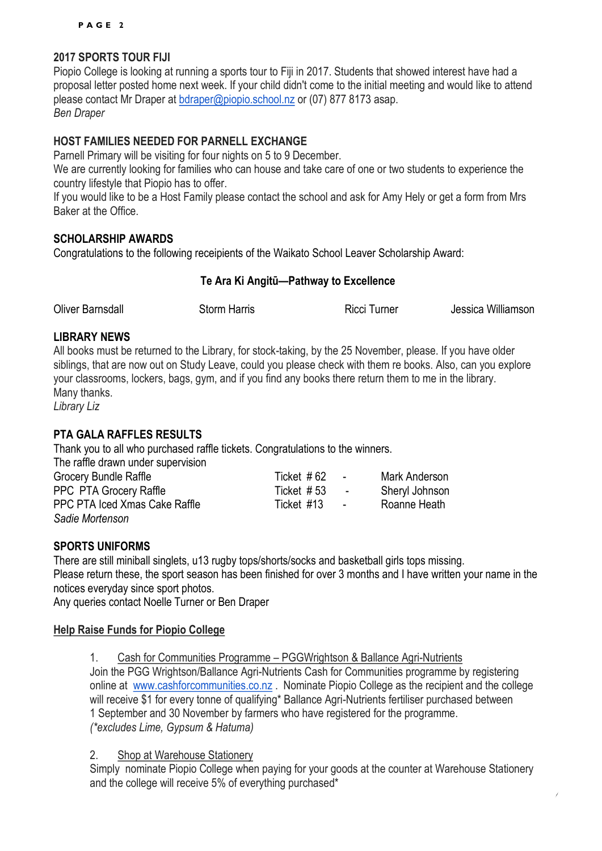#### **2017 SPORTS TOUR FIJI**

Piopio College is looking at running a sports tour to Fiji in 2017. Students that showed interest have had a proposal letter posted home next week. If your child didn't come to the initial meeting and would like to attend please contact Mr Draper at [bdraper@piopio.school.nz](mailto:bdraper@piopio.school.nz) or (07) 877 8173 asap. *Ben Draper*

#### **HOST FAMILIES NEEDED FOR PARNELL EXCHANGE**

Parnell Primary will be visiting for four nights on 5 to 9 December.

We are currently looking for families who can house and take care of one or two students to experience the country lifestyle that Piopio has to offer.

If you would like to be a Host Family please contact the school and ask for Amy Hely or get a form from Mrs Baker at the Office.

#### **SCHOLARSHIP AWARDS**

Congratulations to the following receipients of the Waikato School Leaver Scholarship Award:

#### **Te Ara Ki Angitū—Pathway to Excellence**

Oliver Barnsdall Storm Harris Ricci Turner Jessica Williamson

#### **LIBRARY NEWS**

All books must be returned to the Library, for stock-taking, by the 25 November, please. If you have older siblings, that are now out on Study Leave, could you please check with them re books. Also, can you explore your classrooms, lockers, bags, gym, and if you find any books there return them to me in the library. Many thanks.

*Library Liz*

#### **PTA GALA RAFFLES RESULTS**

Thank you to all who purchased raffle tickets. Congratulations to the winners. The raffle drawn under supervision

| The raille drawn under supervision |            |                  |                |
|------------------------------------|------------|------------------|----------------|
| Grocery Bundle Raffle              | Ticket #62 | $\sim$           | Mark Anderson  |
| <b>PPC PTA Grocery Raffle</b>      | Ticket #53 | $\sim$ 100 $\pm$ | Sheryl Johnson |
| PPC PTA Iced Xmas Cake Raffle      | Ticket #13 | $\sim$           | Roanne Heath   |
| Sadie Mortenson                    |            |                  |                |

#### **SPORTS UNIFORMS**

There are still miniball singlets, u13 rugby tops/shorts/socks and basketball girls tops missing. Please return these, the sport season has been finished for over 3 months and I have written your name in the notices everyday since sport photos.

Any queries contact Noelle Turner or Ben Draper

#### **Help Raise Funds for Piopio College**

1. Cash for Communities Programme – PGGWrightson & Ballance Agri-Nutrients Join the PGG Wrightson/Ballance Agri-Nutrients Cash for Communities programme by registering online at [www.cashforcommunities.co.nz](http://www.cashforcommunities.co.nz/) . Nominate Piopio College as the recipient and the college will receive \$1 for every tonne of qualifying\* Ballance Agri-Nutrients fertiliser purchased between 1 September and 30 November by farmers who have registered for the programme. *(\*excludes Lime, Gypsum & Hatuma)*

2. Shop at Warehouse Stationery

Simply nominate Piopio College when paying for your goods at the counter at Warehouse Stationery and the college will receive 5% of everything purchased\*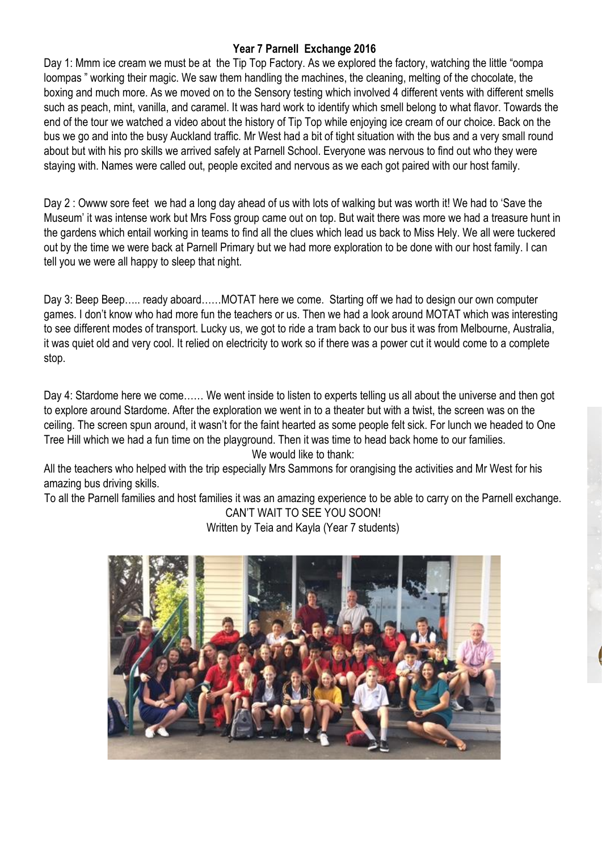#### **Year 7 Parnell Exchange 2016**

Day 1: Mmm ice cream we must be at the Tip Top Factory. As we explored the factory, watching the little "oompa loompas " working their magic. We saw them handling the machines, the cleaning, melting of the chocolate, the boxing and much more. As we moved on to the Sensory testing which involved 4 different vents with different smells such as peach, mint, vanilla, and caramel. It was hard work to identify which smell belong to what flavor. Towards the end of the tour we watched a video about the history of Tip Top while enjoying ice cream of our choice. Back on the bus we go and into the busy Auckland traffic. Mr West had a bit of tight situation with the bus and a very small round about but with his pro skills we arrived safely at Parnell School. Everyone was nervous to find out who they were staying with. Names were called out, people excited and nervous as we each got paired with our host family.

Day 2 : Owww sore feet we had a long day ahead of us with lots of walking but was worth it! We had to 'Save the Museum' it was intense work but Mrs Foss group came out on top. But wait there was more we had a treasure hunt in the gardens which entail working in teams to find all the clues which lead us back to Miss Hely. We all were tuckered out by the time we were back at Parnell Primary but we had more exploration to be done with our host family. I can tell you we were all happy to sleep that night.

Day 3: Beep Beep….. ready aboard……MOTAT here we come. Starting off we had to design our own computer games. I don't know who had more fun the teachers or us. Then we had a look around MOTAT which was interesting to see different modes of transport. Lucky us, we got to ride a tram back to our bus it was from Melbourne, Australia, it was quiet old and very cool. It relied on electricity to work so if there was a power cut it would come to a complete stop.

Day 4: Stardome here we come…… We went inside to listen to experts telling us all about the universe and then got to explore around Stardome. After the exploration we went in to a theater but with a twist, the screen was on the ceiling. The screen spun around, it wasn't for the faint hearted as some people felt sick. For lunch we headed to One Tree Hill which we had a fun time on the playground. Then it was time to head back home to our families. We would like to thank:

All the teachers who helped with the trip especially Mrs Sammons for orangising the activities and Mr West for his amazing bus driving skills.

To all the Parnell families and host families it was an amazing experience to be able to carry on the Parnell exchange. CAN'T WAIT TO SEE YOU SOON!

Written by Teia and Kayla (Year 7 students)